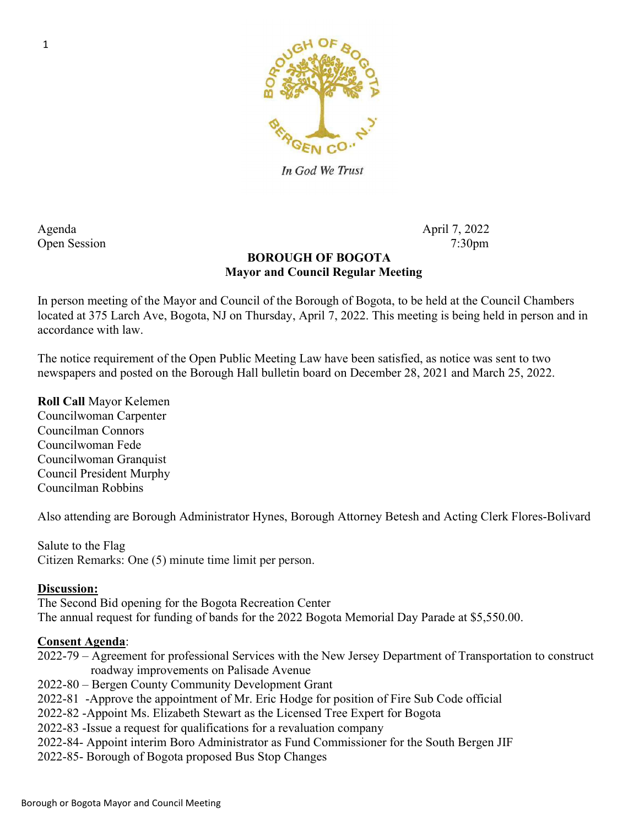

In God We Trust

Agenda April 7, 2022 Open Session 7:30pm

### BOROUGH OF BOGOTA Mayor and Council Regular Meeting

In person meeting of the Mayor and Council of the Borough of Bogota, to be held at the Council Chambers located at 375 Larch Ave, Bogota, NJ on Thursday, April 7, 2022. This meeting is being held in person and in accordance with law.

The notice requirement of the Open Public Meeting Law have been satisfied, as notice was sent to two newspapers and posted on the Borough Hall bulletin board on December 28, 2021 and March 25, 2022.

Roll Call Mayor Kelemen Councilwoman Carpenter Councilman Connors Councilwoman Fede Councilwoman Granquist Council President Murphy Councilman Robbins

Also attending are Borough Administrator Hynes, Borough Attorney Betesh and Acting Clerk Flores-Bolivard

Salute to the Flag Citizen Remarks: One (5) minute time limit per person.

#### Discussion:

The Second Bid opening for the Bogota Recreation Center The annual request for funding of bands for the 2022 Bogota Memorial Day Parade at \$5,550.00.

#### Consent Agenda:

- 2022-79 Agreement for professional Services with the New Jersey Department of Transportation to construct roadway improvements on Palisade Avenue
- 2022-80 Bergen County Community Development Grant
- 2022-81 -Approve the appointment of Mr. Eric Hodge for position of Fire Sub Code official
- 2022-82 -Appoint Ms. Elizabeth Stewart as the Licensed Tree Expert for Bogota
- 2022-83 -Issue a request for qualifications for a revaluation company
- 2022-84- Appoint interim Boro Administrator as Fund Commissioner for the South Bergen JIF
- 2022-85- Borough of Bogota proposed Bus Stop Changes